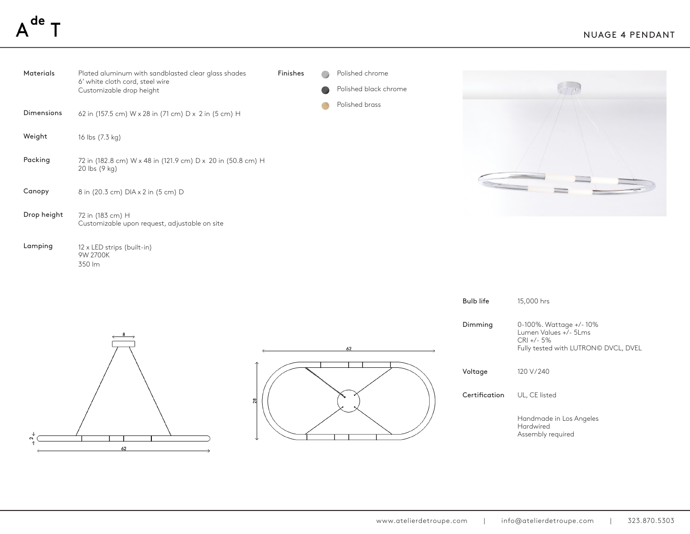## de



350 lm



| <b>Bulb life</b> | 15,000 hrs                                                                                                |
|------------------|-----------------------------------------------------------------------------------------------------------|
| Dimming          | 0-100%. Wattage +/-10%<br>Lumen Values +/- 51 ms<br>$CRI + - 5\%$<br>Fully tested with LUTRON© DVCL, DVEL |
| Voltage          | 120 V/240                                                                                                 |
| Certification    | UL, CE listed                                                                                             |
|                  | Handmade in Los Angeles<br>Hardwired<br>Assembly required                                                 |